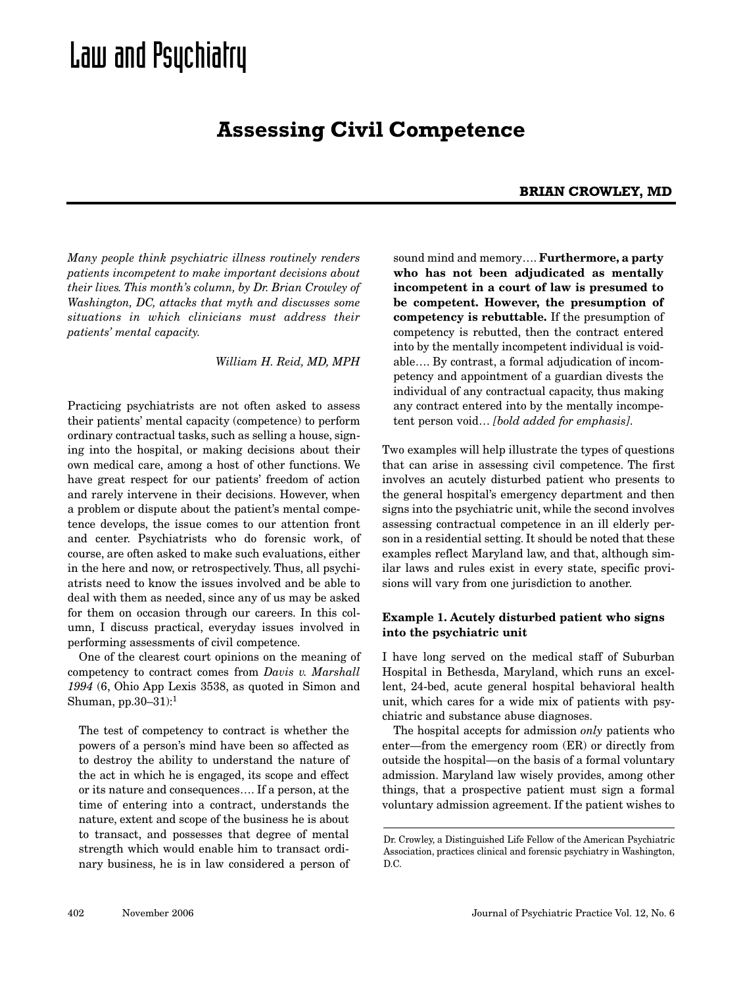# Law and Psychiatry

### **Assessing Civil Competence**

### **BRIAN CROWLEY, MD**

*Many people think psychiatric illness routinely renders patients incompetent to make important decisions about their lives. This month's column, by Dr. Brian Crowley of Washington, DC, attacks that myth and discusses some situations in which clinicians must address their patients' mental capacity.*

*William H. Reid, MD, MPH*

Practicing psychiatrists are not often asked to assess their patients' mental capacity (competence) to perform ordinary contractual tasks, such as selling a house, signing into the hospital, or making decisions about their own medical care, among a host of other functions. We have great respect for our patients' freedom of action and rarely intervene in their decisions. However, when a problem or dispute about the patient's mental competence develops, the issue comes to our attention front and center. Psychiatrists who do forensic work, of course, are often asked to make such evaluations, either in the here and now, or retrospectively. Thus, all psychiatrists need to know the issues involved and be able to deal with them as needed, since any of us may be asked for them on occasion through our careers. In this column, I discuss practical, everyday issues involved in performing assessments of civil competence.

One of the clearest court opinions on the meaning of competency to contract comes from *Davis v. Marshall 1994* (6, Ohio App Lexis 3538, as quoted in Simon and Shuman, pp.30–31):1

The test of competency to contract is whether the powers of a person's mind have been so affected as to destroy the ability to understand the nature of the act in which he is engaged, its scope and effect or its nature and consequences…. If a person, at the time of entering into a contract, understands the nature, extent and scope of the business he is about to transact, and possesses that degree of mental strength which would enable him to transact ordinary business, he is in law considered a person of sound mind and memory…. **Furthermore, a party who has not been adjudicated as mentally incompetent in a court of law is presumed to be competent. However, the presumption of competency is rebuttable.** If the presumption of competency is rebutted, then the contract entered into by the mentally incompetent individual is voidable…. By contrast, a formal adjudication of incompetency and appointment of a guardian divests the individual of any contractual capacity, thus making any contract entered into by the mentally incompetent person void… *[bold added for emphasis]*.

Two examples will help illustrate the types of questions that can arise in assessing civil competence. The first involves an acutely disturbed patient who presents to the general hospital's emergency department and then signs into the psychiatric unit, while the second involves assessing contractual competence in an ill elderly person in a residential setting. It should be noted that these examples reflect Maryland law, and that, although similar laws and rules exist in every state, specific provisions will vary from one jurisdiction to another.

### **Example 1. Acutely disturbed patient who signs into the psychiatric unit**

I have long served on the medical staff of Suburban Hospital in Bethesda, Maryland, which runs an excellent, 24-bed, acute general hospital behavioral health unit, which cares for a wide mix of patients with psychiatric and substance abuse diagnoses.

The hospital accepts for admission *only* patients who enter—from the emergency room (ER) or directly from outside the hospital—on the basis of a formal voluntary admission. Maryland law wisely provides, among other things, that a prospective patient must sign a formal voluntary admission agreement. If the patient wishes to

Dr. Crowley, a Distinguished Life Fellow of the American Psychiatric Association, practices clinical and forensic psychiatry in Washington, D.C.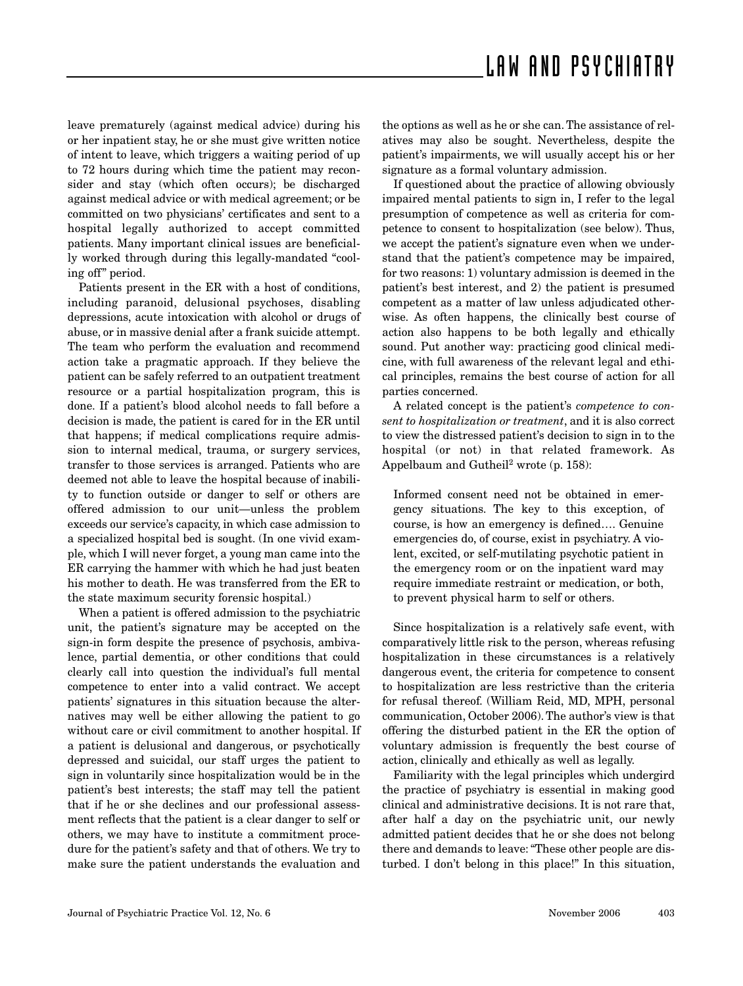leave prematurely (against medical advice) during his or her inpatient stay, he or she must give written notice of intent to leave, which triggers a waiting period of up to 72 hours during which time the patient may reconsider and stay (which often occurs); be discharged against medical advice or with medical agreement; or be committed on two physicians' certificates and sent to a hospital legally authorized to accept committed patients. Many important clinical issues are beneficially worked through during this legally-mandated "cooling off" period.

Patients present in the ER with a host of conditions, including paranoid, delusional psychoses, disabling depressions, acute intoxication with alcohol or drugs of abuse, or in massive denial after a frank suicide attempt. The team who perform the evaluation and recommend action take a pragmatic approach. If they believe the patient can be safely referred to an outpatient treatment resource or a partial hospitalization program, this is done. If a patient's blood alcohol needs to fall before a decision is made, the patient is cared for in the ER until that happens; if medical complications require admission to internal medical, trauma, or surgery services, transfer to those services is arranged. Patients who are deemed not able to leave the hospital because of inability to function outside or danger to self or others are offered admission to our unit—unless the problem exceeds our service's capacity, in which case admission to a specialized hospital bed is sought. (In one vivid example, which I will never forget, a young man came into the ER carrying the hammer with which he had just beaten his mother to death. He was transferred from the ER to the state maximum security forensic hospital.)

When a patient is offered admission to the psychiatric unit, the patient's signature may be accepted on the sign-in form despite the presence of psychosis, ambivalence, partial dementia, or other conditions that could clearly call into question the individual's full mental competence to enter into a valid contract. We accept patients' signatures in this situation because the alternatives may well be either allowing the patient to go without care or civil commitment to another hospital. If a patient is delusional and dangerous, or psychotically depressed and suicidal, our staff urges the patient to sign in voluntarily since hospitalization would be in the patient's best interests; the staff may tell the patient that if he or she declines and our professional assessment reflects that the patient is a clear danger to self or others, we may have to institute a commitment procedure for the patient's safety and that of others. We try to make sure the patient understands the evaluation and the options as well as he or she can. The assistance of relatives may also be sought. Nevertheless, despite the patient's impairments, we will usually accept his or her signature as a formal voluntary admission.

If questioned about the practice of allowing obviously impaired mental patients to sign in, I refer to the legal presumption of competence as well as criteria for competence to consent to hospitalization (see below). Thus, we accept the patient's signature even when we understand that the patient's competence may be impaired, for two reasons: 1) voluntary admission is deemed in the patient's best interest, and 2) the patient is presumed competent as a matter of law unless adjudicated otherwise. As often happens, the clinically best course of action also happens to be both legally and ethically sound. Put another way: practicing good clinical medicine, with full awareness of the relevant legal and ethical principles, remains the best course of action for all parties concerned.

A related concept is the patient's *competence to consent to hospitalization or treatment*, and it is also correct to view the distressed patient's decision to sign in to the hospital (or not) in that related framework. As Appelbaum and Gutheil<sup>2</sup> wrote (p. 158):

Informed consent need not be obtained in emergency situations. The key to this exception, of course, is how an emergency is defined…. Genuine emergencies do, of course, exist in psychiatry. A violent, excited, or self-mutilating psychotic patient in the emergency room or on the inpatient ward may require immediate restraint or medication, or both, to prevent physical harm to self or others.

Since hospitalization is a relatively safe event, with comparatively little risk to the person, whereas refusing hospitalization in these circumstances is a relatively dangerous event, the criteria for competence to consent to hospitalization are less restrictive than the criteria for refusal thereof. (William Reid, MD, MPH, personal communication, October 2006). The author's view is that offering the disturbed patient in the ER the option of voluntary admission is frequently the best course of action, clinically and ethically as well as legally.

Familiarity with the legal principles which undergird the practice of psychiatry is essential in making good clinical and administrative decisions. It is not rare that, after half a day on the psychiatric unit, our newly admitted patient decides that he or she does not belong there and demands to leave: "These other people are disturbed. I don't belong in this place!" In this situation,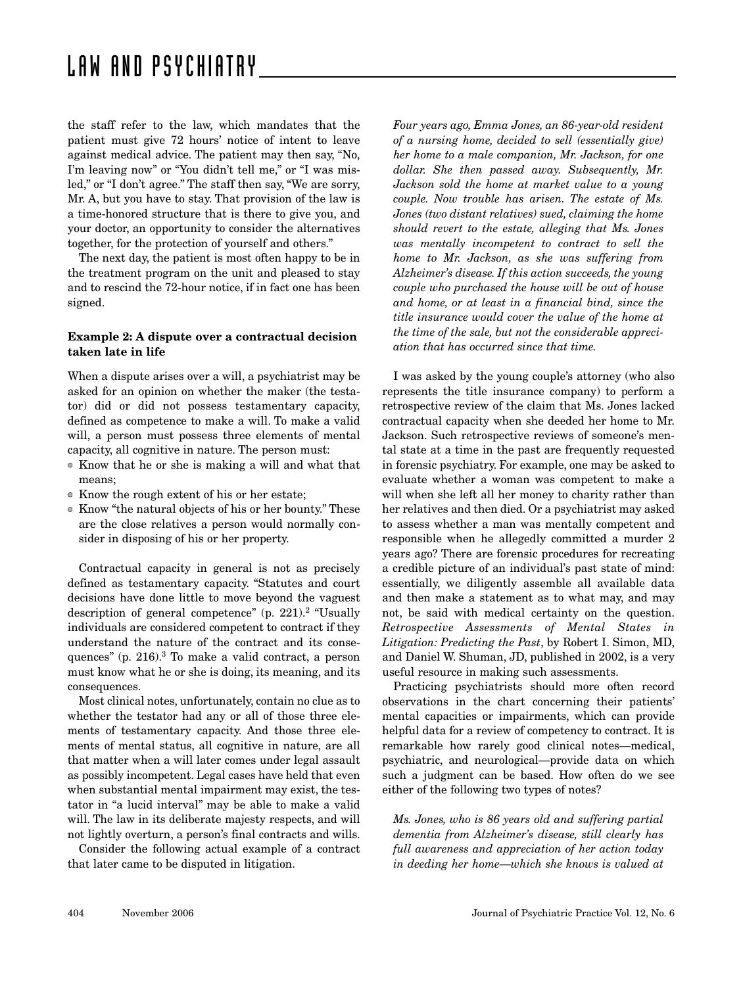## LAW AND PSYCHIATRY

the staff refer to the law, which mandates that the patient must give 72 hours' notice of intent to leave against medical advice. The patient may then say, "No, I'm leaving now" or "You didn't tell me," or "I was misled," or "I don't agree." The staff then say, "We are sorry, Mr. A, but you have to stay. That provision of the law is a time-honored structure that is there to give you, and your doctor, an opportunity to consider the alternatives together, for the protection of yourself and others."

The next day, the patient is most often happy to be in the treatment program on the unit and pleased to stay and to rescind the 72-hour notice, if in fact one has been signed.

### **Example 2: A dispute over a contractual decision taken late in life**

When a dispute arises over a will, a psychiatrist may be asked for an opinion on whether the maker (the testator) did or did not possess testamentary capacity, defined as competence to make a will. To make a valid will, a person must possess three elements of mental capacity, all cognitive in nature. The person must:

- Know that he or she is making a will and what that means;
- Know the rough extent of his or her estate;
- Know "the natural objects of his or her bounty." These are the close relatives a person would normally consider in disposing of his or her property.

Contractual capacity in general is not as precisely defined as testamentary capacity. "Statutes and court decisions have done little to move beyond the vaguest description of general competence" (p. 221).<sup>2</sup> "Usually individuals are considered competent to contract if they understand the nature of the contract and its consequences" (p. 216).3 To make a valid contract, a person must know what he or she is doing, its meaning, and its consequences.

Most clinical notes, unfortunately, contain no clue as to whether the testator had any or all of those three elements of testamentary capacity. And those three elements of mental status, all cognitive in nature, are all that matter when a will later comes under legal assault as possibly incompetent. Legal cases have held that even when substantial mental impairment may exist, the testator in "a lucid interval" may be able to make a valid will. The law in its deliberate majesty respects, and will not lightly overturn, a person's final contracts and wills.

Consider the following actual example of a contract that later came to be disputed in litigation.

*Four years ago, Emma Jones, an 86-year-old resident of a nursing home, decided to sell (essentially give) her home to a male companion, Mr. Jackson, for one dollar. She then passed away. Subsequently, Mr. Jackson sold the home at market value to a young couple. Now trouble has arisen. The estate of Ms. Jones (two distant relatives) sued, claiming the home should revert to the estate, alleging that Ms. Jones was mentally incompetent to contract to sell the home to Mr. Jackson, as she was suffering from Alzheimer's disease. If this action succeeds, the young couple who purchased the house will be out of house and home, or at least in a financial bind, since the title insurance would cover the value of the home at the time of the sale, but not the considerable appreciation that has occurred since that time.*

I was asked by the young couple's attorney (who also represents the title insurance company) to perform a retrospective review of the claim that Ms. Jones lacked contractual capacity when she deeded her home to Mr. Jackson. Such retrospective reviews of someone's mental state at a time in the past are frequently requested in forensic psychiatry. For example, one may be asked to evaluate whether a woman was competent to make a will when she left all her money to charity rather than her relatives and then died. Or a psychiatrist may asked to assess whether a man was mentally competent and responsible when he allegedly committed a murder 2 years ago? There are forensic procedures for recreating a credible picture of an individual's past state of mind: essentially, we diligently assemble all available data and then make a statement as to what may, and may not, be said with medical certainty on the question. *Retrospective Assessments of Mental States in Litigation: Predicting the Past*, by Robert I. Simon, MD, and Daniel W. Shuman, JD, published in 2002, is a very useful resource in making such assessments.

Practicing psychiatrists should more often record observations in the chart concerning their patients' mental capacities or impairments, which can provide helpful data for a review of competency to contract. It is remarkable how rarely good clinical notes—medical, psychiatric, and neurological—provide data on which such a judgment can be based. How often do we see either of the following two types of notes?

*Ms. Jones, who is 86 years old and suffering partial dementia from Alzheimer's disease, still clearly has full awareness and appreciation of her action today in deeding her home—which she knows is valued at*